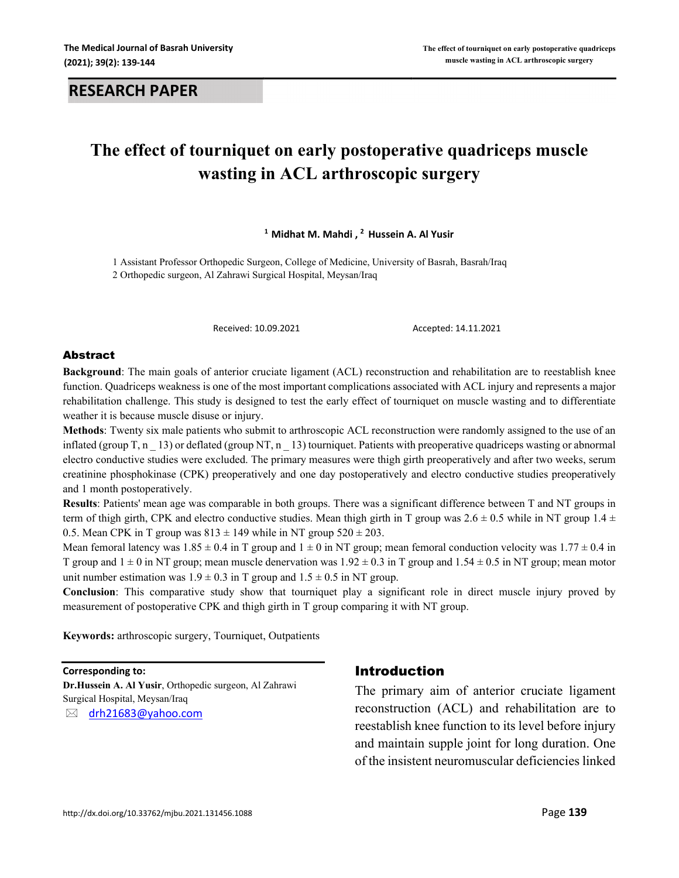#### **RESEARCH PAPER**

# **The effect of tourniquet on early postoperative quadriceps muscle wasting in ACL arthroscopic surgery**

**<sup>1</sup> Midhat M. Mahdi , 2 Hussein A. Al Yusir**

1 Assistant Professor Orthopedic Surgeon, College of Medicine, University of Basrah, Basrah/Iraq 2 Orthopedic surgeon, Al Zahrawi Surgical Hospital, Meysan/Iraq

Received: 10.09.2021 Accepted: 14.11.2021

#### Abstract

**Background**: The main goals of anterior cruciate ligament (ACL) reconstruction and rehabilitation are to reestablish knee function. Quadriceps weakness is one of the most important complications associated with ACL injury and represents a major rehabilitation challenge. This study is designed to test the early effect of tourniquet on muscle wasting and to differentiate weather it is because muscle disuse or injury.

**Methods**: Twenty six male patients who submit to arthroscopic ACL reconstruction were randomly assigned to the use of an inflated (group T, n \_ 13) or deflated (group NT, n \_ 13) tourniquet. Patients with preoperative quadriceps wasting or abnormal electro conductive studies were excluded. The primary measures were thigh girth preoperatively and after two weeks, serum creatinine phosphokinase (CPK) preoperatively and one day postoperatively and electro conductive studies preoperatively and 1 month postoperatively.

**Results**: Patients' mean age was comparable in both groups. There was a significant difference between T and NT groups in term of thigh girth, CPK and electro conductive studies. Mean thigh girth in T group was  $2.6 \pm 0.5$  while in NT group 1.4  $\pm$ 0.5. Mean CPK in T group was  $813 \pm 149$  while in NT group  $520 \pm 203$ .

Mean femoral latency was  $1.85 \pm 0.4$  in T group and  $1 \pm 0$  in NT group; mean femoral conduction velocity was  $1.77 \pm 0.4$  in T group and  $1 \pm 0$  in NT group; mean muscle denervation was  $1.92 \pm 0.3$  in T group and  $1.54 \pm 0.5$  in NT group; mean motor unit number estimation was  $1.9 \pm 0.3$  in T group and  $1.5 \pm 0.5$  in NT group.

**Conclusion**: This comparative study show that tourniquet play a significant role in direct muscle injury proved by measurement of postoperative CPK and thigh girth in T group comparing it with NT group.

**Keywords:** arthroscopic surgery, Tourniquet, Outpatients

**Corresponding to:**

**Dr.Hussein A. Al Yusir**, Orthopedic surgeon, Al Zahrawi Surgical Hospital, Meysan/Iraq

drh21683@yahoo.com

#### Introduction

The primary aim of anterior cruciate ligament reconstruction (ACL) and rehabilitation are to reestablish knee function to its level before injury and maintain supple joint for long duration. One of the insistent neuromuscular deficiencies linked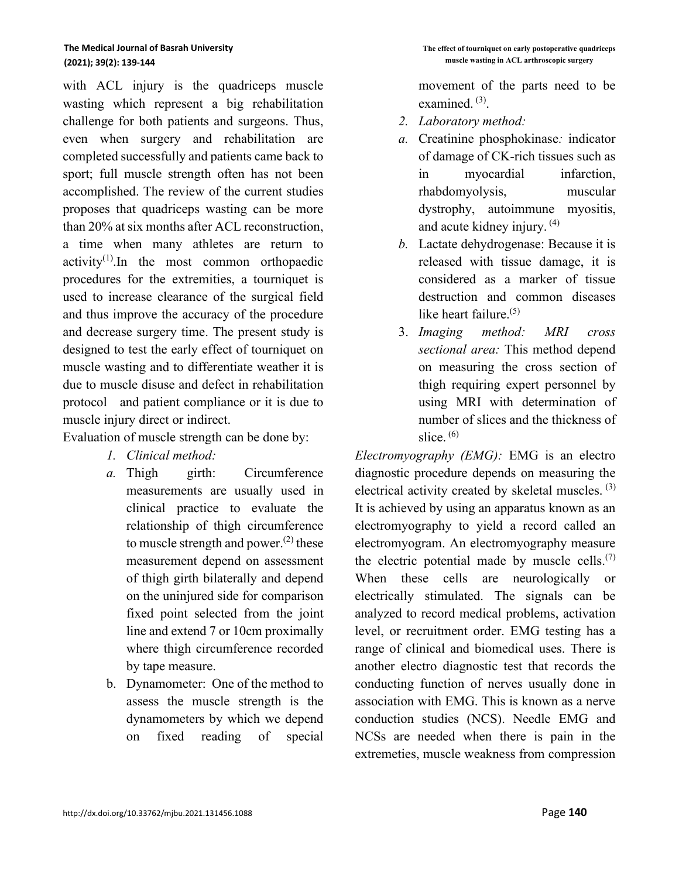with ACL injury is the quadriceps muscle wasting which represent a big rehabilitation challenge for both patients and surgeons. Thus, even when surgery and rehabilitation are completed successfully and patients came back to sport; full muscle strength often has not been accomplished. The review of the current studies proposes that quadriceps wasting can be more than 20% at six months after ACL reconstruction, a time when many athletes are return to  $activity<sup>(1)</sup>$ . In the most common orthopaedic procedures for the extremities, a tourniquet is used to increase clearance of the surgical field and thus improve the accuracy of the procedure and decrease surgery time. The present study is designed to test the early effect of tourniquet on muscle wasting and to differentiate weather it is due to muscle disuse and defect in rehabilitation protocol and patient compliance or it is due to muscle injury direct or indirect.

Evaluation of muscle strength can be done by:

- *1. Clinical method:*
- *a.* Thigh girth: Circumference measurements are usually used in clinical practice to evaluate the relationship of thigh circumference to muscle strength and power.<sup>(2)</sup> these measurement depend on assessment of thigh girth bilaterally and depend on the uninjured side for comparison fixed point selected from the joint line and extend 7 or 10cm proximally where thigh circumference recorded by tape measure.
- b. Dynamometer: One of the method to assess the muscle strength is the dynamometers by which we depend on fixed reading of special

movement of the parts need to be examined.<sup>(3)</sup>.

- *2. Laboratory method:*
- *a.* Creatinine phosphokinase*:* indicator of damage of CK-rich tissues such as in myocardial infarction, rhabdomyolysis, muscular dystrophy, autoimmune myositis, and acute kidney injury. (4)
- *b.* Lactate dehydrogenase: Because it is released with tissue damage, it is considered as a marker of tissue destruction and common diseases like heart failure.<sup>(5)</sup>
- 3. *Imaging method: MRI cross sectional area:* This method depend on measuring the cross section of thigh requiring expert personnel by using MRI with determination of number of slices and the thickness of slice.  $(6)$

*Electromyography (EMG):* EMG is an electro diagnostic procedure depends on measuring the electrical activity created by skeletal muscles.  $(3)$ It is achieved by using an apparatus known as an electromyography to yield a record called an electromyogram. An electromyography measure the electric potential made by muscle cells. $(7)$ When these cells are neurologically or electrically stimulated. The signals can be analyzed to record medical problems, activation level, or recruitment order. EMG testing has a range of clinical and biomedical uses. There is another electro diagnostic test that records the conducting function of nerves usually done in association with EMG. This is known as a nerve conduction studies (NCS). Needle EMG and NCSs are needed when there is pain in the extremeties, muscle weakness from compression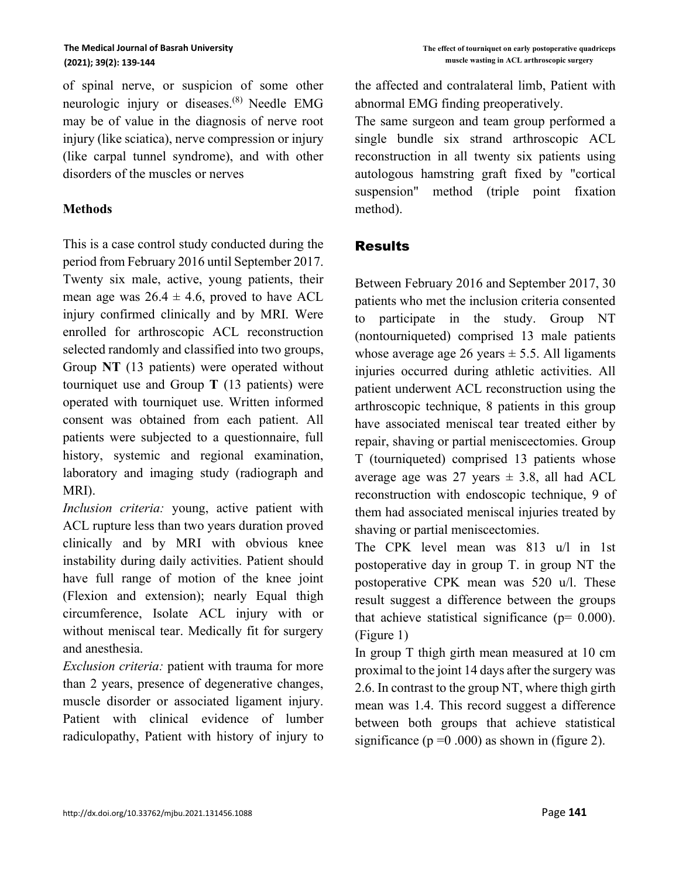of spinal nerve, or suspicion of some other neurologic injury or diseases. (8) Needle EMG may be of value in the diagnosis of nerve root injury (like sciatica), nerve compression or injury (like carpal tunnel syndrome), and with other disorders of the muscles or nerves

#### **Methods**

This is a case control study conducted during the period from February 2016 until September 2017. Twenty six male, active, young patients, their mean age was  $26.4 \pm 4.6$ , proved to have ACL injury confirmed clinically and by MRI. Were enrolled for arthroscopic ACL reconstruction selected randomly and classified into two groups, Group **NT** (13 patients) were operated without tourniquet use and Group **T** (13 patients) were operated with tourniquet use. Written informed consent was obtained from each patient. All patients were subjected to a questionnaire, full history, systemic and regional examination, laboratory and imaging study (radiograph and MRI).

*Inclusion criteria:* young, active patient with ACL rupture less than two years duration proved clinically and by MRI with obvious knee instability during daily activities. Patient should have full range of motion of the knee joint (Flexion and extension); nearly Equal thigh circumference, Isolate ACL injury with or without meniscal tear. Medically fit for surgery and anesthesia.

*Exclusion criteria:* patient with trauma for more than 2 years, presence of degenerative changes, muscle disorder or associated ligament injury. Patient with clinical evidence of lumber radiculopathy, Patient with history of injury to the affected and contralateral limb, Patient with abnormal EMG finding preoperatively.

The same surgeon and team group performed a single bundle six strand arthroscopic ACL reconstruction in all twenty six patients using autologous hamstring graft fixed by "cortical suspension" method (triple point fixation method).

## Results

Between February 2016 and September 2017, 30 patients who met the inclusion criteria consented to participate in the study. Group NT (nontourniqueted) comprised 13 male patients whose average age 26 years  $\pm$  5.5. All ligaments injuries occurred during athletic activities. All patient underwent ACL reconstruction using the arthroscopic technique, 8 patients in this group have associated meniscal tear treated either by repair, shaving or partial meniscectomies. Group T (tourniqueted) comprised 13 patients whose average age was 27 years  $\pm$  3.8, all had ACL reconstruction with endoscopic technique, 9 of them had associated meniscal injuries treated by shaving or partial meniscectomies.

The CPK level mean was 813 u/l in 1st postoperative day in group T. in group NT the postoperative CPK mean was 520 u/l. These result suggest a difference between the groups that achieve statistical significance ( $p= 0.000$ ). (Figure 1)

In group T thigh girth mean measured at 10 cm proximal to the joint 14 days after the surgery was 2.6. In contrast to the group NT, where thigh girth mean was 1.4. This record suggest a difference between both groups that achieve statistical significance ( $p = 0.000$ ) as shown in (figure 2).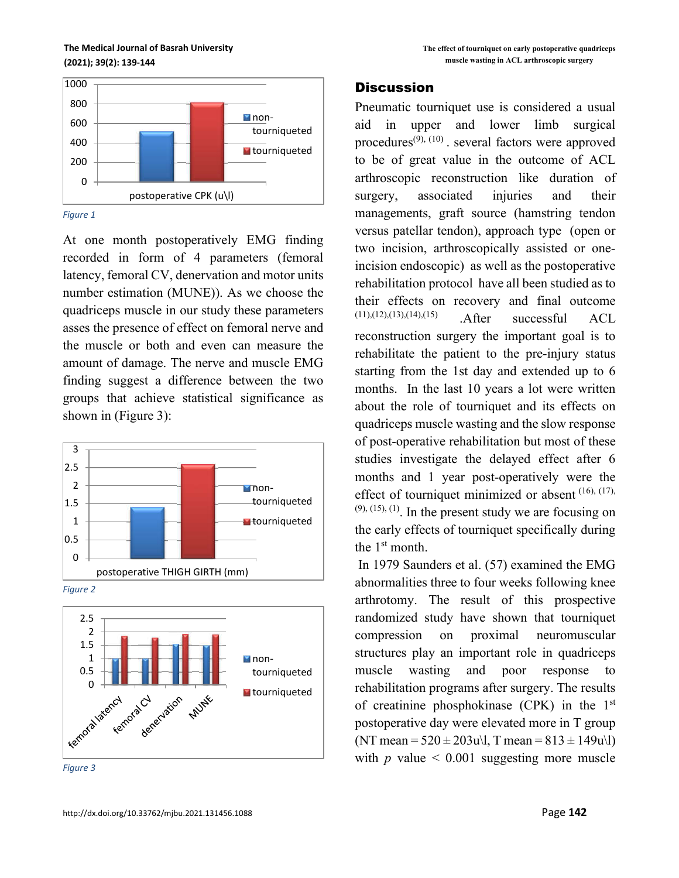**The Medical Journal of Basrah University (2021); 39(2): 139-144**



*Figure 1*

At one month postoperatively EMG finding recorded in form of 4 parameters (femoral latency, femoral CV, denervation and motor units number estimation (MUNE)). As we choose the quadriceps muscle in our study these parameters asses the presence of effect on femoral nerve and the muscle or both and even can measure the amount of damage. The nerve and muscle EMG finding suggest a difference between the two groups that achieve statistical significance as shown in (Figure 3):



*Figure 2*



*Figure 3*

#### **Discussion**

Pneumatic tourniquet use is considered a usual aid in upper and lower limb surgical procedures<sup> $(9)$ ,  $(10)$ </sup>. several factors were approved to be of great value in the outcome of ACL arthroscopic reconstruction like duration of surgery, associated injuries and their managements, graft source (hamstring tendon versus patellar tendon), approach type (open or two incision, arthroscopically assisted or oneincision endoscopic) as well as the postoperative rehabilitation protocol have all been studied as to their effects on recovery and final outcome (11),(12),(13),(14),(15) .After successful ACL reconstruction surgery the important goal is to rehabilitate the patient to the pre-injury status starting from the 1st day and extended up to 6 months. In the last 10 years a lot were written about the role of tourniquet and its effects on quadriceps muscle wasting and the slow response of post-operative rehabilitation but most of these studies investigate the delayed effect after 6 months and 1 year post-operatively were the effect of tourniquet minimized or absent  $(16)$ ,  $(17)$ ,  $(9)$ ,  $(15)$ ,  $(1)$ . In the present study we are focusing on the early effects of tourniquet specifically during the 1<sup>st</sup> month.

In 1979 Saunders et al. (57) examined the EMG abnormalities three to four weeks following knee arthrotomy. The result of this prospective randomized study have shown that tourniquet compression on proximal neuromuscular structures play an important role in quadriceps muscle wasting and poor response rehabilitation programs after surgery. The results of creatinine phosphokinase (CPK) in the  $1<sup>st</sup>$ postoperative day were elevated more in T group (NT mean =  $520 \pm 203$ u\l, T mean =  $813 \pm 149$ u\l) with  $p$  value  $\leq 0.001$  suggesting more muscle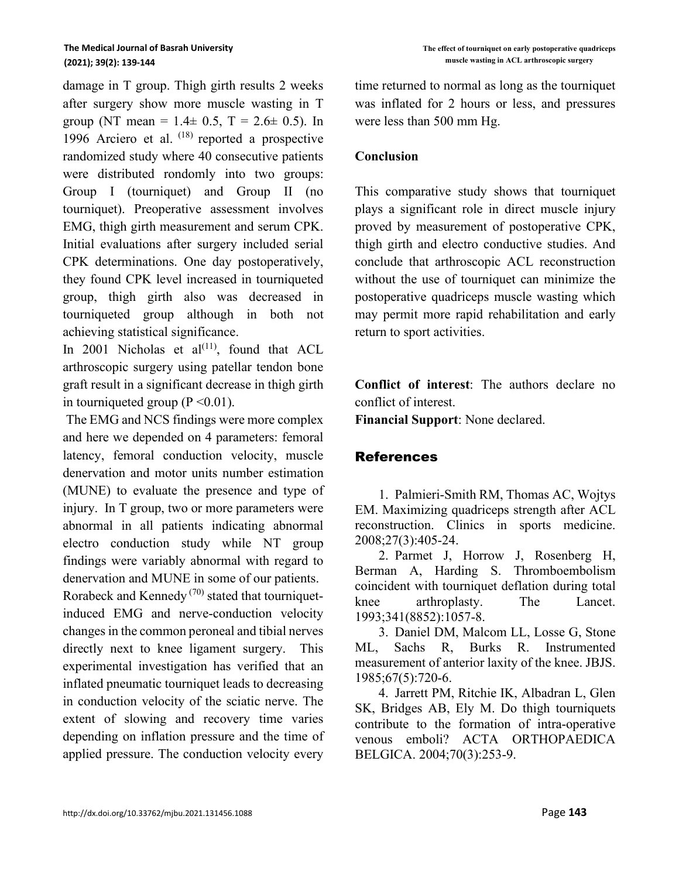damage in T group. Thigh girth results 2 weeks after surgery show more muscle wasting in T group (NT mean =  $1.4 \pm 0.5$ , T =  $2.6 \pm 0.5$ ). In 1996 Arciero et al.  $(18)$  reported a prospective randomized study where 40 consecutive patients were distributed rondomly into two groups: Group I (tourniquet) and Group II (no tourniquet). Preoperative assessment involves EMG, thigh girth measurement and serum CPK. Initial evaluations after surgery included serial CPK determinations. One day postoperatively, they found CPK level increased in tourniqueted group, thigh girth also was decreased in tourniqueted group although in both not achieving statistical significance.

In 2001 Nicholas et  $al^{(11)}$ , found that ACL arthroscopic surgery using patellar tendon bone graft result in a significant decrease in thigh girth in tourniqueted group ( $P \le 0.01$ ).

The EMG and NCS findings were more complex and here we depended on 4 parameters: femoral latency, femoral conduction velocity, muscle denervation and motor units number estimation (MUNE) to evaluate the presence and type of injury. In T group, two or more parameters were abnormal in all patients indicating abnormal electro conduction study while NT group findings were variably abnormal with regard to denervation and MUNE in some of our patients.

Rorabeck and Kennedy (70) stated that tourniquetinduced EMG and nerve-conduction velocity changes in the common peroneal and tibial nerves directly next to knee ligament surgery. This experimental investigation has verified that an inflated pneumatic tourniquet leads to decreasing in conduction velocity of the sciatic nerve. The extent of slowing and recovery time varies depending on inflation pressure and the time of applied pressure. The conduction velocity every time returned to normal as long as the tourniquet was inflated for 2 hours or less, and pressures were less than 500 mm Hg.

#### **Conclusion**

This comparative study shows that tourniquet plays a significant role in direct muscle injury proved by measurement of postoperative CPK, thigh girth and electro conductive studies. And conclude that arthroscopic ACL reconstruction without the use of tourniquet can minimize the postoperative quadriceps muscle wasting which may permit more rapid rehabilitation and early return to sport activities .

**Conflict of interest**: The authors declare no conflict of interest.

**Financial Support**: None declared.

### References

1. Palmieri-Smith RM, Thomas AC, Wojtys EM. Maximizing quadriceps strength after ACL reconstruction. Clinics in sports medicine. 2008;27(3):405-24.

2. Parmet J, Horrow J, Rosenberg H, Berman A, Harding S. Thromboembolism coincident with tourniquet deflation during total knee arthroplasty. The Lancet. 1993;341(8852):1057-8.

3. Daniel DM, Malcom LL, Losse G, Stone ML, Sachs R, Burks R. Instrumented measurement of anterior laxity of the knee. JBJS. 1985;67(5):720-6.

4. Jarrett PM, Ritchie IK, Albadran L, Glen SK, Bridges AB, Ely M. Do thigh tourniquets contribute to the formation of intra-operative venous emboli? ACTA ORTHOPAEDICA BELGICA. 2004;70(3):253-9.